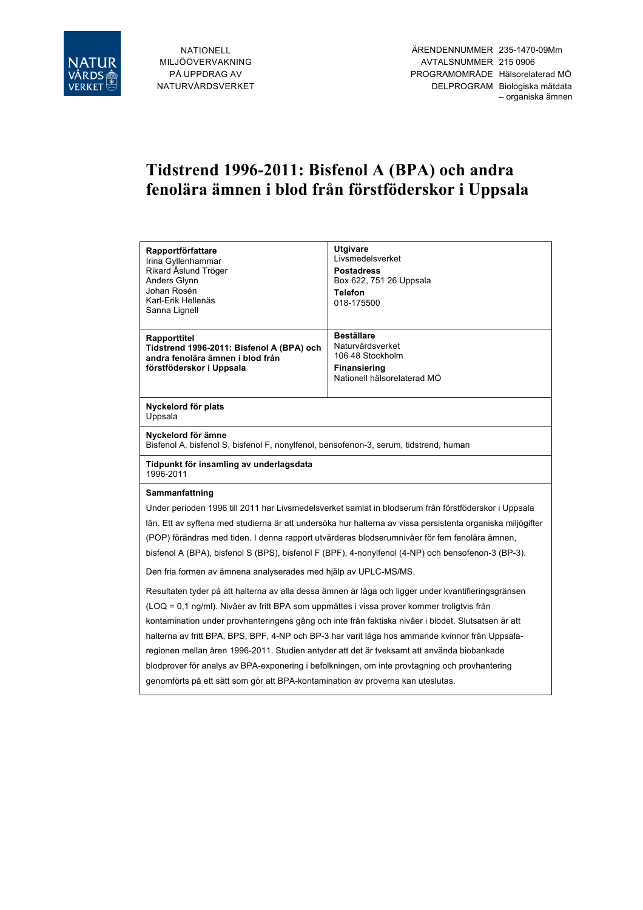

# **Tidstrend 1996-2011: Bisfenol A (BPA) och andra fenolära ämnen i blod från förstföderskor i Uppsala**

| Rapportförfattare<br>Irina Gyllenhammar<br>Rikard Åslund Tröger<br>Anders Glynn<br>Johan Rosén<br>Karl-Erik Hellenäs<br>Sanna Lignell                                                                                                                                                                                                                                                                                                                                                                                                                                                  | <b>Utgivare</b><br>Livsmedelsverket<br><b>Postadress</b><br>Box 622, 751 26 Uppsala<br><b>Telefon</b><br>018-175500 |  |  |
|----------------------------------------------------------------------------------------------------------------------------------------------------------------------------------------------------------------------------------------------------------------------------------------------------------------------------------------------------------------------------------------------------------------------------------------------------------------------------------------------------------------------------------------------------------------------------------------|---------------------------------------------------------------------------------------------------------------------|--|--|
| Rapporttitel<br>Tidstrend 1996-2011: Bisfenol A (BPA) och<br>andra fenolära ämnen i blod från<br>förstföderskor i Uppsala                                                                                                                                                                                                                                                                                                                                                                                                                                                              | <b>Beställare</b><br>Naturvårdsverket<br>106 48 Stockholm<br><b>Finansiering</b><br>Nationell hälsorelaterad MÖ     |  |  |
| Nyckelord för plats<br>Uppsala                                                                                                                                                                                                                                                                                                                                                                                                                                                                                                                                                         |                                                                                                                     |  |  |
| Nyckelord för ämne<br>Bisfenol A, bisfenol S, bisfenol F, nonylfenol, bensofenon-3, serum, tidstrend, human                                                                                                                                                                                                                                                                                                                                                                                                                                                                            |                                                                                                                     |  |  |
| Tidpunkt för insamling av underlagsdata<br>1996-2011                                                                                                                                                                                                                                                                                                                                                                                                                                                                                                                                   |                                                                                                                     |  |  |
| Sammanfattning<br>Under perioden 1996 till 2011 har Livsmedelsverket samlat in blodserum från förstföderskor i Uppsala<br>län. Ett av syftena med studierna är att undersöka hur halterna av vissa persistenta organiska miljögifter<br>(POP) förändras med tiden. I denna rapport utvärderas blodserumnivåer för fem fenolära ämnen,<br>bisfenol A (BPA), bisfenol S (BPS), bisfenol F (BPF), 4-nonylfenol (4-NP) och bensofenon-3 (BP-3).                                                                                                                                            |                                                                                                                     |  |  |
| Den fria formen av ämnena analyserades med hjälp av UPLC-MS/MS.<br>Resultaten tyder på att halterna av alla dessa ämnen är låga och ligger under kvantifieringsgränsen                                                                                                                                                                                                                                                                                                                                                                                                                 |                                                                                                                     |  |  |
| (LOQ = 0,1 ng/ml). Nivåer av fritt BPA som uppmättes i vissa prover kommer troligtvis från<br>kontamination under provhanteringens gång och inte från faktiska nivåer i blodet. Slutsatsen är att<br>halterna av fritt BPA, BPS, BPF, 4-NP och BP-3 har varit låga hos ammande kvinnor från Uppsala-<br>regionen mellan åren 1996-2011. Studien antyder att det är tveksamt att använda biobankade<br>blodprover för analys av BPA-exponering i befolkningen, om inte provtagning och provhantering<br>genomförts på ett sätt som gör att BPA-kontamination av proverna kan uteslutas. |                                                                                                                     |  |  |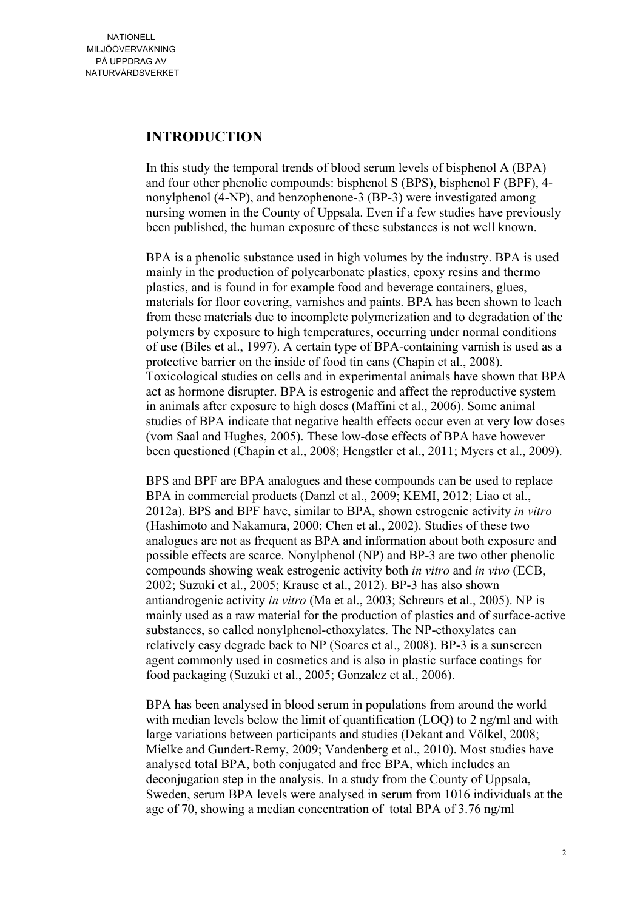## **INTRODUCTION**

In this study the temporal trends of blood serum levels of bisphenol A (BPA) and four other phenolic compounds: bisphenol S (BPS), bisphenol F (BPF), 4 nonylphenol (4-NP), and benzophenone-3 (BP-3) were investigated among nursing women in the County of Uppsala. Even if a few studies have previously been published, the human exposure of these substances is not well known.

BPA is a phenolic substance used in high volumes by the industry. BPA is used mainly in the production of polycarbonate plastics, epoxy resins and thermo plastics, and is found in for example food and beverage containers, glues, materials for floor covering, varnishes and paints. BPA has been shown to leach from these materials due to incomplete polymerization and to degradation of the polymers by exposure to high temperatures, occurring under normal conditions of use (Biles et al., 1997). A certain type of BPA-containing varnish is used as a protective barrier on the inside of food tin cans (Chapin et al., 2008). Toxicological studies on cells and in experimental animals have shown that BPA act as hormone disrupter. BPA is estrogenic and affect the reproductive system in animals after exposure to high doses (Maffini et al., 2006). Some animal studies of BPA indicate that negative health effects occur even at very low doses (vom Saal and Hughes, 2005). These low-dose effects of BPA have however been questioned (Chapin et al., 2008; Hengstler et al., 2011; Myers et al., 2009).

BPS and BPF are BPA analogues and these compounds can be used to replace BPA in commercial products (Danzl et al., 2009; KEMI, 2012; Liao et al., 2012a). BPS and BPF have, similar to BPA, shown estrogenic activity *in vitro* (Hashimoto and Nakamura, 2000; Chen et al., 2002). Studies of these two analogues are not as frequent as BPA and information about both exposure and possible effects are scarce. Nonylphenol (NP) and BP-3 are two other phenolic compounds showing weak estrogenic activity both *in vitro* and *in vivo* (ECB, 2002; Suzuki et al., 2005; Krause et al., 2012). BP-3 has also shown antiandrogenic activity *in vitro* (Ma et al., 2003; Schreurs et al., 2005). NP is mainly used as a raw material for the production of plastics and of surface-active substances, so called nonylphenol-ethoxylates. The NP-ethoxylates can relatively easy degrade back to NP (Soares et al., 2008). BP-3 is a sunscreen agent commonly used in cosmetics and is also in plastic surface coatings for food packaging (Suzuki et al., 2005; Gonzalez et al., 2006).

BPA has been analysed in blood serum in populations from around the world with median levels below the limit of quantification (LOQ) to 2 ng/ml and with large variations between participants and studies (Dekant and Völkel, 2008; Mielke and Gundert-Remy, 2009; Vandenberg et al., 2010). Most studies have analysed total BPA, both conjugated and free BPA, which includes an deconjugation step in the analysis. In a study from the County of Uppsala, Sweden, serum BPA levels were analysed in serum from 1016 individuals at the age of 70, showing a median concentration of total BPA of 3.76 ng/ml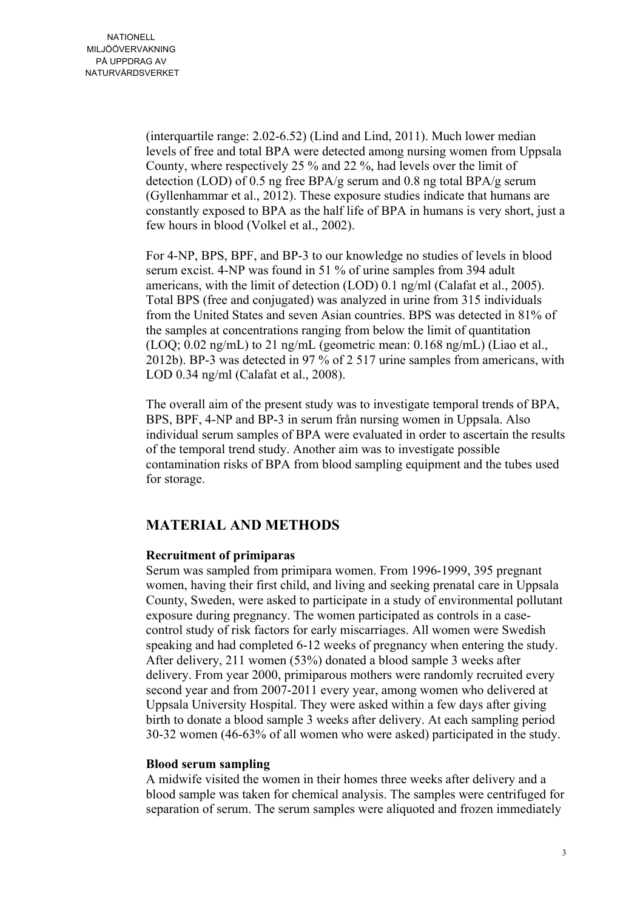(interquartile range: 2.02-6.52) (Lind and Lind, 2011). Much lower median levels of free and total BPA were detected among nursing women from Uppsala County, where respectively 25 % and 22 %, had levels over the limit of detection (LOD) of 0.5 ng free BPA/g serum and 0.8 ng total BPA/g serum (Gyllenhammar et al., 2012). These exposure studies indicate that humans are constantly exposed to BPA as the half life of BPA in humans is very short, just a few hours in blood (Volkel et al., 2002).

For 4-NP, BPS, BPF, and BP-3 to our knowledge no studies of levels in blood serum excist. 4-NP was found in 51 % of urine samples from 394 adult americans, with the limit of detection (LOD) 0.1 ng/ml (Calafat et al., 2005). Total BPS (free and conjugated) was analyzed in urine from 315 individuals from the United States and seven Asian countries. BPS was detected in 81% of the samples at concentrations ranging from below the limit of quantitation (LOQ; 0.02 ng/mL) to 21 ng/mL (geometric mean: 0.168 ng/mL) (Liao et al., 2012b). BP-3 was detected in 97 % of 2 517 urine samples from americans, with LOD 0.34 ng/ml (Calafat et al., 2008).

The overall aim of the present study was to investigate temporal trends of BPA, BPS, BPF, 4-NP and BP-3 in serum från nursing women in Uppsala. Also individual serum samples of BPA were evaluated in order to ascertain the results of the temporal trend study. Another aim was to investigate possible contamination risks of BPA from blood sampling equipment and the tubes used for storage.

## **MATERIAL AND METHODS**

#### **Recruitment of primiparas**

Serum was sampled from primipara women. From 1996-1999, 395 pregnant women, having their first child, and living and seeking prenatal care in Uppsala County, Sweden, were asked to participate in a study of environmental pollutant exposure during pregnancy. The women participated as controls in a casecontrol study of risk factors for early miscarriages. All women were Swedish speaking and had completed 6-12 weeks of pregnancy when entering the study. After delivery, 211 women (53%) donated a blood sample 3 weeks after delivery. From year 2000, primiparous mothers were randomly recruited every second year and from 2007-2011 every year, among women who delivered at Uppsala University Hospital. They were asked within a few days after giving birth to donate a blood sample 3 weeks after delivery. At each sampling period 30-32 women (46-63% of all women who were asked) participated in the study.

#### **Blood serum sampling**

A midwife visited the women in their homes three weeks after delivery and a blood sample was taken for chemical analysis. The samples were centrifuged for separation of serum. The serum samples were aliquoted and frozen immediately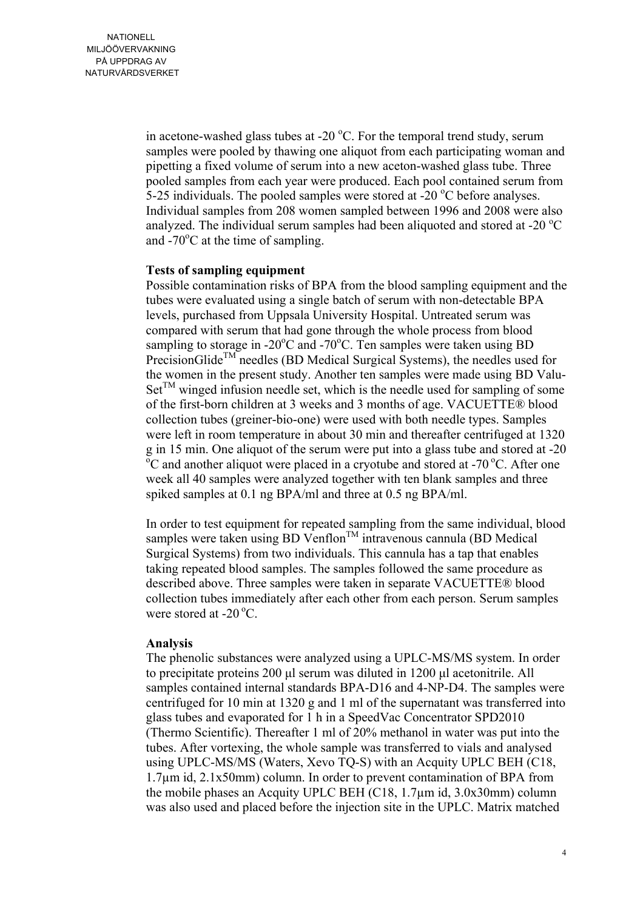in acetone-washed glass tubes at -20  $^{\circ}$ C. For the temporal trend study, serum samples were pooled by thawing one aliquot from each participating woman and pipetting a fixed volume of serum into a new aceton-washed glass tube. Three pooled samples from each year were produced. Each pool contained serum from 5-25 individuals. The pooled samples were stored at  $-20^{\circ}$ C before analyses. Individual samples from 208 women sampled between 1996 and 2008 were also analyzed. The individual serum samples had been aliquoted and stored at -20  $^{\circ}$ C and  $-70^{\circ}$ C at the time of sampling.

#### **Tests of sampling equipment**

Possible contamination risks of BPA from the blood sampling equipment and the tubes were evaluated using a single batch of serum with non-detectable BPA levels, purchased from Uppsala University Hospital. Untreated serum was compared with serum that had gone through the whole process from blood sampling to storage in -20 $^{\circ}$ C and -70 $^{\circ}$ C. Ten samples were taken using BD PrecisionGlide<sup>TM</sup> needles (BD Medical Surgical Systems), the needles used for the women in the present study. Another ten samples were made using BD Valu- $Set^{TM}$  winged infusion needle set, which is the needle used for sampling of some of the first-born children at 3 weeks and 3 months of age. VACUETTE® blood collection tubes (greiner-bio-one) were used with both needle types. Samples were left in room temperature in about 30 min and thereafter centrifuged at 1320  $g$  in 15 min. One aliquot of the serum were put into a glass tube and stored at  $-20$  $\tilde{C}$  and another aliquot were placed in a cryotube and stored at -70 °C. After one week all 40 samples were analyzed together with ten blank samples and three spiked samples at 0.1 ng BPA/ml and three at 0.5 ng BPA/ml.

In order to test equipment for repeated sampling from the same individual, blood samples were taken using BD Venflon<sup>TM</sup> intravenous cannula (BD Medical Surgical Systems) from two individuals. This cannula has a tap that enables taking repeated blood samples. The samples followed the same procedure as described above. Three samples were taken in separate VACUETTE® blood collection tubes immediately after each other from each person. Serum samples were stored at  $-20^{\circ}$ C.

#### **Analysis**

The phenolic substances were analyzed using a UPLC-MS/MS system. In order to precipitate proteins 200 µl serum was diluted in 1200 µl acetonitrile. All samples contained internal standards BPA-D16 and 4-NP-D4. The samples were centrifuged for 10 min at 1320 g and 1 ml of the supernatant was transferred into glass tubes and evaporated for 1 h in a SpeedVac Concentrator SPD2010 (Thermo Scientific). Thereafter 1 ml of 20% methanol in water was put into the tubes. After vortexing, the whole sample was transferred to vials and analysed using UPLC-MS/MS (Waters, Xevo TQ-S) with an Acquity UPLC BEH (C18, 1.7µm id, 2.1x50mm) column. In order to prevent contamination of BPA from the mobile phases an Acquity UPLC BEH (C18, 1.7µm id, 3.0x30mm) column was also used and placed before the injection site in the UPLC. Matrix matched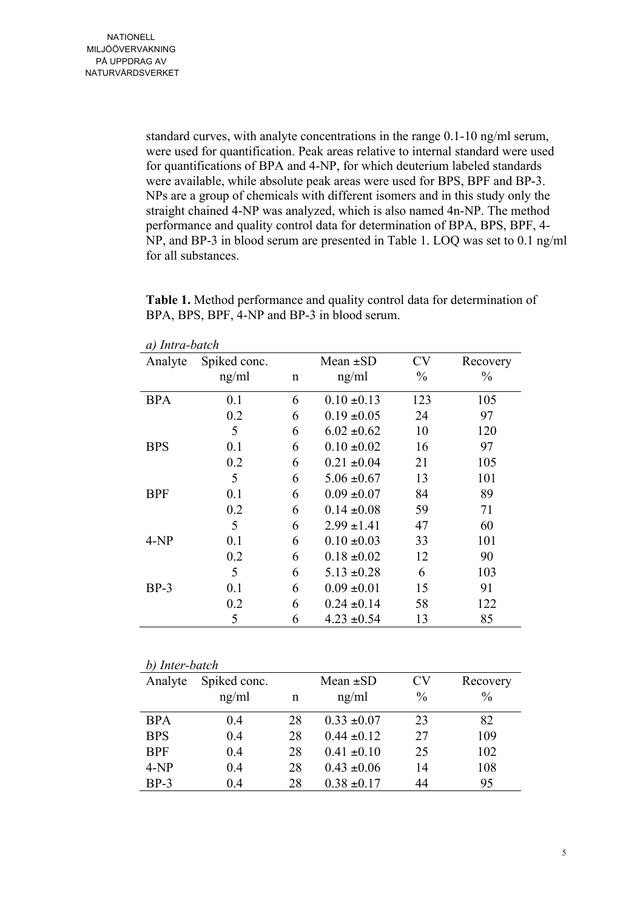standard curves, with analyte concentrations in the range 0.1-10 ng/ml serum, were used for quantification. Peak areas relative to internal standard were used for quantifications of BPA and 4-NP, for which deuterium labeled standards were available, while absolute peak areas were used for BPS, BPF and BP-3. NPs are a group of chemicals with different isomers and in this study only the straight chained 4-NP was analyzed, which is also named 4n-NP. The method performance and quality control data for determination of BPA, BPS, BPF, 4- NP, and BP-3 in blood serum are presented in Table 1. LOQ was set to 0.1 ng/ml for all substances.

**Table 1.** Method performance and quality control data for determination of BPA, BPS, BPF, 4-NP and BP-3 in blood serum.

| Analyte    | Spiked conc. |   | Mean $\pm SD$   | CV            | Recovery      |
|------------|--------------|---|-----------------|---------------|---------------|
|            | ng/ml        | n | ng/ml           | $\frac{0}{0}$ | $\frac{0}{0}$ |
| <b>BPA</b> | 0.1          | 6 | $0.10 \pm 0.13$ | 123           | 105           |
|            | 0.2          | 6 | $0.19 \pm 0.05$ | 24            | 97            |
|            | 5            | 6 | $6.02 \pm 0.62$ | 10            | 120           |
| <b>BPS</b> | 0.1          | 6 | $0.10 \pm 0.02$ | 16            | 97            |
|            | 0.2          | 6 | $0.21 \pm 0.04$ | 21            | 105           |
|            | 5            | 6 | $5.06 \pm 0.67$ | 13            | 101           |
| <b>BPF</b> | 0.1          | 6 | $0.09 \pm 0.07$ | 84            | 89            |
|            | 0.2          | 6 | $0.14 \pm 0.08$ | 59            | 71            |
|            | 5            | 6 | $2.99 \pm 1.41$ | 47            | 60            |
| $4-NP$     | 0.1          | 6 | $0.10 \pm 0.03$ | 33            | 101           |
|            | 0.2          | 6 | $0.18 \pm 0.02$ | 12            | 90            |
|            | 5            | 6 | $5.13 \pm 0.28$ | 6             | 103           |
| $BP-3$     | 0.1          | 6 | $0.09 \pm 0.01$ | 15            | 91            |
|            | 0.2          | 6 | $0.24 \pm 0.14$ | 58            | 122           |
|            | 5            | 6 | $4.23 \pm 0.54$ | 13            | 85            |

*a) Intra-batch*

| b) Inter-batch |              |    |                 |               |               |
|----------------|--------------|----|-----------------|---------------|---------------|
| Analyte        | Spiked conc. |    | Mean $\pm SD$   | CV            | Recovery      |
|                | ng/ml        | n  | ng/ml           | $\frac{0}{0}$ | $\frac{0}{0}$ |
| <b>BPA</b>     | 0.4          | 28 | $0.33 \pm 0.07$ | 23            | 82            |
| <b>BPS</b>     | 0.4          | 28 | $0.44 \pm 0.12$ | 27            | 109           |
| <b>BPF</b>     | 0.4          | 28 | $0.41 \pm 0.10$ | 25            | 102           |
| $4-NP$         | 0.4          | 28 | $0.43 \pm 0.06$ | 14            | 108           |
| $BP-3$         | 0.4          | 28 | $0.38 \pm 0.17$ | 44            | 95            |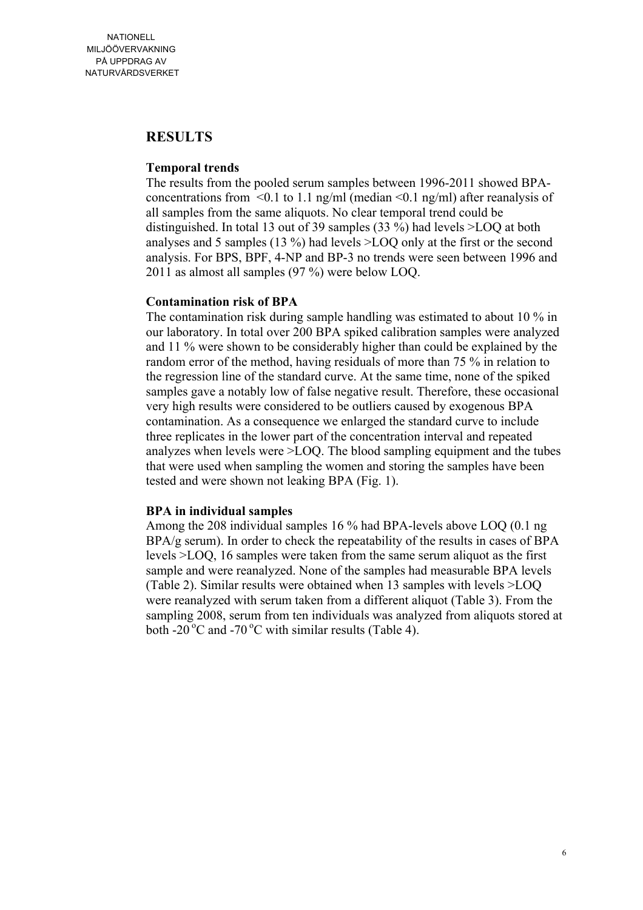### **RESULTS**

#### **Temporal trends**

The results from the pooled serum samples between 1996-2011 showed BPAconcentrations from  $\leq 0.1$  to 1.1 ng/ml (median  $\leq 0.1$  ng/ml) after reanalysis of all samples from the same aliquots. No clear temporal trend could be distinguished. In total 13 out of 39 samples (33 %) had levels >LOQ at both analyses and 5 samples (13 %) had levels >LOQ only at the first or the second analysis. For BPS, BPF, 4-NP and BP-3 no trends were seen between 1996 and 2011 as almost all samples (97 %) were below LOQ.

#### **Contamination risk of BPA**

The contamination risk during sample handling was estimated to about 10 % in our laboratory. In total over 200 BPA spiked calibration samples were analyzed and 11 % were shown to be considerably higher than could be explained by the random error of the method, having residuals of more than 75 % in relation to the regression line of the standard curve. At the same time, none of the spiked samples gave a notably low of false negative result. Therefore, these occasional very high results were considered to be outliers caused by exogenous BPA contamination. As a consequence we enlarged the standard curve to include three replicates in the lower part of the concentration interval and repeated analyzes when levels were >LOQ. The blood sampling equipment and the tubes that were used when sampling the women and storing the samples have been tested and were shown not leaking BPA (Fig. 1).

#### **BPA in individual samples**

Among the 208 individual samples 16 % had BPA-levels above LOQ (0.1 ng BPA/g serum). In order to check the repeatability of the results in cases of BPA levels >LOQ, 16 samples were taken from the same serum aliquot as the first sample and were reanalyzed. None of the samples had measurable BPA levels (Table 2). Similar results were obtained when 13 samples with levels >LOQ were reanalyzed with serum taken from a different aliquot (Table 3). From the sampling 2008, serum from ten individuals was analyzed from aliquots stored at both -20 $\mathrm{^{\circ}C}$  and -70 $\mathrm{^{\circ}C}$  with similar results (Table 4).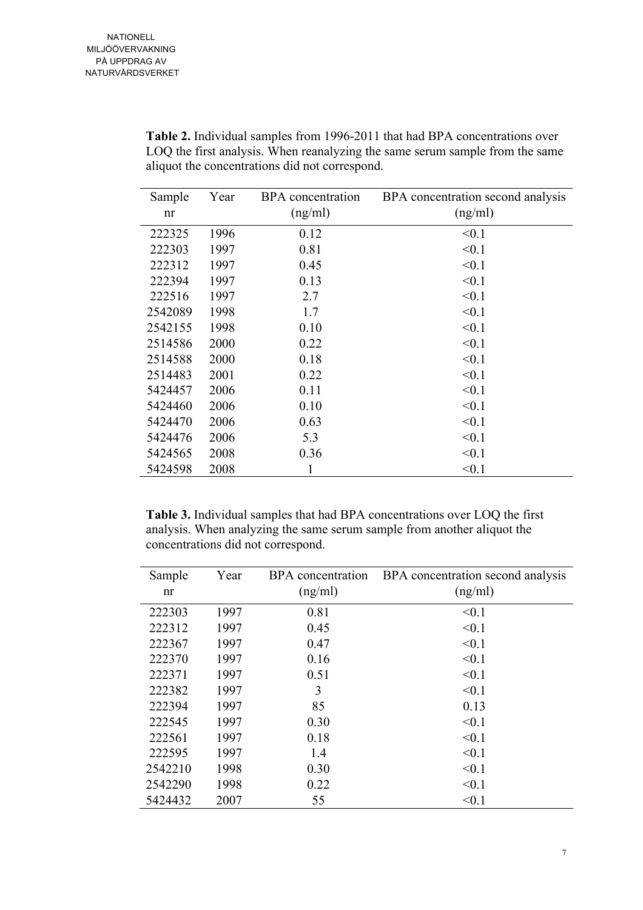| Sample  | Year | <b>BPA</b> concentration | BPA concentration second analysis |
|---------|------|--------------------------|-----------------------------------|
| nr      |      | (ng/ml)                  | (ng/ml)                           |
| 222325  | 1996 | 0.12                     | < 0.1                             |
| 222303  | 1997 | 0.81                     | < 0.1                             |
| 222312  | 1997 | 0.45                     | < 0.1                             |
| 222394  | 1997 | 0.13                     | < 0.1                             |
| 222516  | 1997 | 2.7                      | < 0.1                             |
| 2542089 | 1998 | 1.7                      | < 0.1                             |
| 2542155 | 1998 | 0.10                     | < 0.1                             |
| 2514586 | 2000 | 0.22                     | < 0.1                             |
| 2514588 | 2000 | 0.18                     | < 0.1                             |
| 2514483 | 2001 | 0.22                     | < 0.1                             |
| 5424457 | 2006 | 0.11                     | < 0.1                             |
| 5424460 | 2006 | 0.10                     | < 0.1                             |
| 5424470 | 2006 | 0.63                     | < 0.1                             |
| 5424476 | 2006 | 5.3                      | < 0.1                             |
| 5424565 | 2008 | 0.36                     | < 0.1                             |
| 5424598 | 2008 | 1                        | < 0.1                             |

**Table 2.** Individual samples from 1996-2011 that had BPA concentrations over LOQ the first analysis. When reanalyzing the same serum sample from the same aliquot the concentrations did not correspond.

**Table 3.** Individual samples that had BPA concentrations over LOQ the first analysis. When analyzing the same serum sample from another aliquot the concentrations did not correspond.

| Sample  | Year | BPA concentration | BPA concentration second analysis |
|---------|------|-------------------|-----------------------------------|
| nr      |      | (ng/ml)           | (ng/ml)                           |
| 222303  | 1997 | 0.81              | < 0.1                             |
| 222312  | 1997 | 0.45              | < 0.1                             |
| 222367  | 1997 | 0.47              | < 0.1                             |
| 222370  | 1997 | 0.16              | < 0.1                             |
| 222371  | 1997 | 0.51              | < 0.1                             |
| 222382  | 1997 | 3                 | < 0.1                             |
| 222394  | 1997 | 85                | 0.13                              |
| 222545  | 1997 | 0.30              | < 0.1                             |
| 222561  | 1997 | 0.18              | < 0.1                             |
| 222595  | 1997 | 1.4               | < 0.1                             |
| 2542210 | 1998 | 0.30              | < 0.1                             |
| 2542290 | 1998 | 0.22              | < 0.1                             |
| 5424432 | 2007 | 55                | < 0.1                             |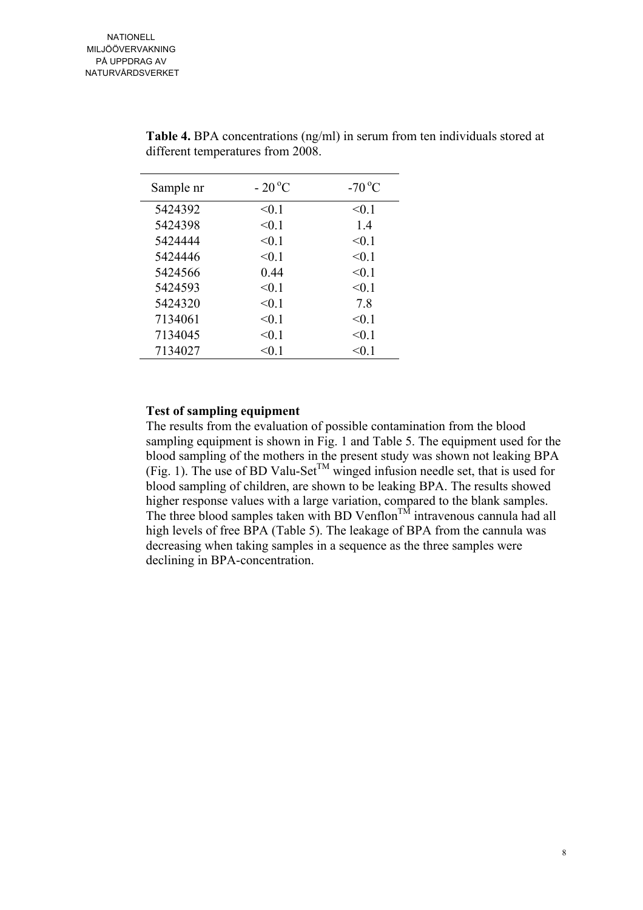| Sample nr | $-20^{\circ}$ C | $-70^{\circ}$ C |
|-----------|-----------------|-----------------|
| 5424392   | < 0.1           | < 0.1           |
| 5424398   | < 0.1           | 14              |
| 5424444   | < 0.1           | < 0.1           |
| 5424446   | < 0.1           | < 0.1           |
| 5424566   | 0.44            | < 0.1           |
| 5424593   | < 0.1           | < 0.1           |
| 5424320   | < 0.1           | 7.8             |
| 7134061   | < 0.1           | < 0.1           |
| 7134045   | < 0.1           | < 0.1           |
| 7134027   | $<$ 0.1         | <0 1            |

**Table 4.** BPA concentrations (ng/ml) in serum from ten individuals stored at different temperatures from 2008.

#### **Test of sampling equipment**

The results from the evaluation of possible contamination from the blood sampling equipment is shown in Fig. 1 and Table 5. The equipment used for the blood sampling of the mothers in the present study was shown not leaking BPA (Fig. 1). The use of BD Valu-Set<sup>TM</sup> winged infusion needle set, that is used for blood sampling of children, are shown to be leaking BPA. The results showed higher response values with a large variation, compared to the blank samples. The three blood samples taken with BD Venflon<sup>TM</sup> intravenous cannula had all high levels of free BPA (Table 5). The leakage of BPA from the cannula was decreasing when taking samples in a sequence as the three samples were declining in BPA-concentration.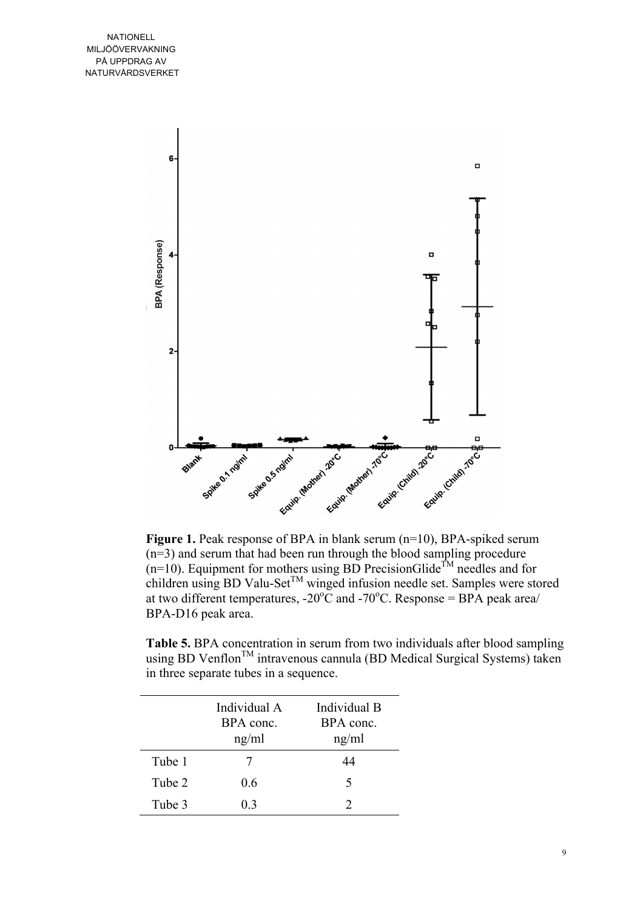

**Figure 1.** Peak response of BPA in blank serum (n=10), BPA-spiked serum (n=3) and serum that had been run through the blood sampling procedure  $(n=10)$ . Equipment for mothers using BD PrecisionGlide<sup>TM</sup> needles and for children using BD Valu-Set<sup>TM</sup> winged infusion needle set. Samples were stored at two different temperatures,  $-20^{\circ}$ C and  $-70^{\circ}$ C. Response = BPA peak area/ BPA-D16 peak area.

**Table 5.** BPA concentration in serum from two individuals after blood sampling using BD Venflon<sup>TM</sup> intravenous cannula (BD Medical Surgical Systems) taken in three separate tubes in a sequence.

|        | Individual A<br>BPA conc.<br>ng/ml | Individual B<br>BPA conc.<br>ng/ml |
|--------|------------------------------------|------------------------------------|
| Tube 1 |                                    | 44                                 |
| Tube 2 | 0.6                                | 5                                  |
| Tube 3 | 03                                 |                                    |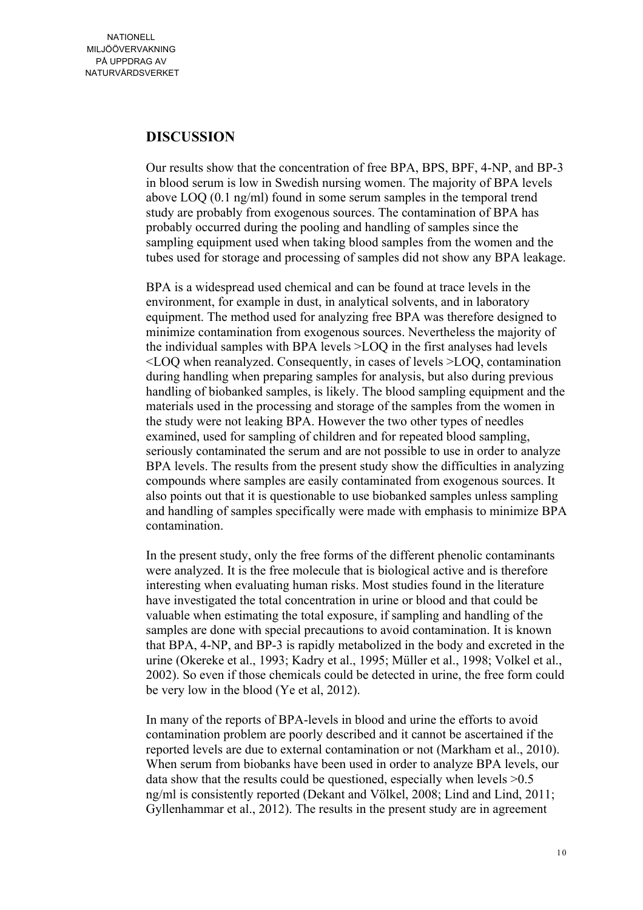## **DISCUSSION**

Our results show that the concentration of free BPA, BPS, BPF, 4-NP, and BP-3 in blood serum is low in Swedish nursing women. The majority of BPA levels above LOQ (0.1 ng/ml) found in some serum samples in the temporal trend study are probably from exogenous sources. The contamination of BPA has probably occurred during the pooling and handling of samples since the sampling equipment used when taking blood samples from the women and the tubes used for storage and processing of samples did not show any BPA leakage.

BPA is a widespread used chemical and can be found at trace levels in the environment, for example in dust, in analytical solvents, and in laboratory equipment. The method used for analyzing free BPA was therefore designed to minimize contamination from exogenous sources. Nevertheless the majority of the individual samples with BPA levels >LOQ in the first analyses had levels <LOQ when reanalyzed. Consequently, in cases of levels >LOQ, contamination during handling when preparing samples for analysis, but also during previous handling of biobanked samples, is likely. The blood sampling equipment and the materials used in the processing and storage of the samples from the women in the study were not leaking BPA. However the two other types of needles examined, used for sampling of children and for repeated blood sampling, seriously contaminated the serum and are not possible to use in order to analyze BPA levels. The results from the present study show the difficulties in analyzing compounds where samples are easily contaminated from exogenous sources. It also points out that it is questionable to use biobanked samples unless sampling and handling of samples specifically were made with emphasis to minimize BPA contamination.

In the present study, only the free forms of the different phenolic contaminants were analyzed. It is the free molecule that is biological active and is therefore interesting when evaluating human risks. Most studies found in the literature have investigated the total concentration in urine or blood and that could be valuable when estimating the total exposure, if sampling and handling of the samples are done with special precautions to avoid contamination. It is known that BPA, 4-NP, and BP-3 is rapidly metabolized in the body and excreted in the urine (Okereke et al., 1993; Kadry et al., 1995; Müller et al., 1998; Volkel et al., 2002). So even if those chemicals could be detected in urine, the free form could be very low in the blood (Ye et al, 2012).

In many of the reports of BPA-levels in blood and urine the efforts to avoid contamination problem are poorly described and it cannot be ascertained if the reported levels are due to external contamination or not (Markham et al., 2010). When serum from biobanks have been used in order to analyze BPA levels, our data show that the results could be questioned, especially when levels  $>0.5$ ng/ml is consistently reported (Dekant and Völkel, 2008; Lind and Lind, 2011; Gyllenhammar et al., 2012). The results in the present study are in agreement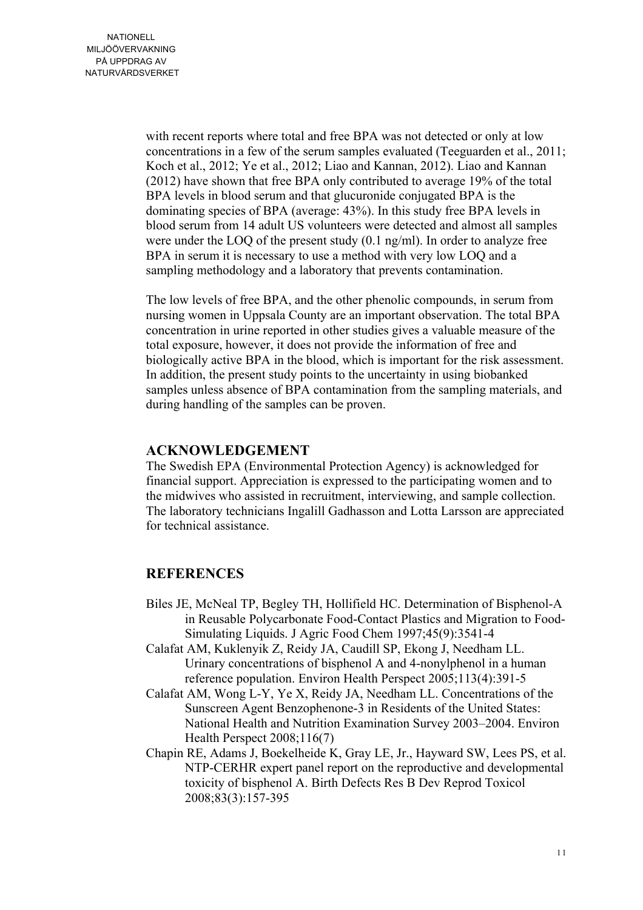with recent reports where total and free BPA was not detected or only at low concentrations in a few of the serum samples evaluated (Teeguarden et al., 2011; Koch et al., 2012; Ye et al., 2012; Liao and Kannan, 2012). Liao and Kannan (2012) have shown that free BPA only contributed to average 19% of the total BPA levels in blood serum and that glucuronide conjugated BPA is the dominating species of BPA (average: 43%). In this study free BPA levels in blood serum from 14 adult US volunteers were detected and almost all samples were under the LOQ of the present study (0.1 ng/ml). In order to analyze free BPA in serum it is necessary to use a method with very low LOO and a sampling methodology and a laboratory that prevents contamination.

The low levels of free BPA, and the other phenolic compounds, in serum from nursing women in Uppsala County are an important observation. The total BPA concentration in urine reported in other studies gives a valuable measure of the total exposure, however, it does not provide the information of free and biologically active BPA in the blood, which is important for the risk assessment. In addition, the present study points to the uncertainty in using biobanked samples unless absence of BPA contamination from the sampling materials, and during handling of the samples can be proven.

## **ACKNOWLEDGEMENT**

The Swedish EPA (Environmental Protection Agency) is acknowledged for financial support. Appreciation is expressed to the participating women and to the midwives who assisted in recruitment, interviewing, and sample collection. The laboratory technicians Ingalill Gadhasson and Lotta Larsson are appreciated for technical assistance.

## **REFERENCES**

- Biles JE, McNeal TP, Begley TH, Hollifield HC. Determination of Bisphenol-A in Reusable Polycarbonate Food-Contact Plastics and Migration to Food-Simulating Liquids. J Agric Food Chem 1997;45(9):3541-4
- Calafat AM, Kuklenyik Z, Reidy JA, Caudill SP, Ekong J, Needham LL. Urinary concentrations of bisphenol A and 4-nonylphenol in a human reference population. Environ Health Perspect 2005;113(4):391-5
- Calafat AM, Wong L-Y, Ye X, Reidy JA, Needham LL. Concentrations of the Sunscreen Agent Benzophenone-3 in Residents of the United States: National Health and Nutrition Examination Survey 2003–2004. Environ Health Perspect 2008;116(7)
- Chapin RE, Adams J, Boekelheide K, Gray LE, Jr., Hayward SW, Lees PS, et al. NTP-CERHR expert panel report on the reproductive and developmental toxicity of bisphenol A. Birth Defects Res B Dev Reprod Toxicol 2008;83(3):157-395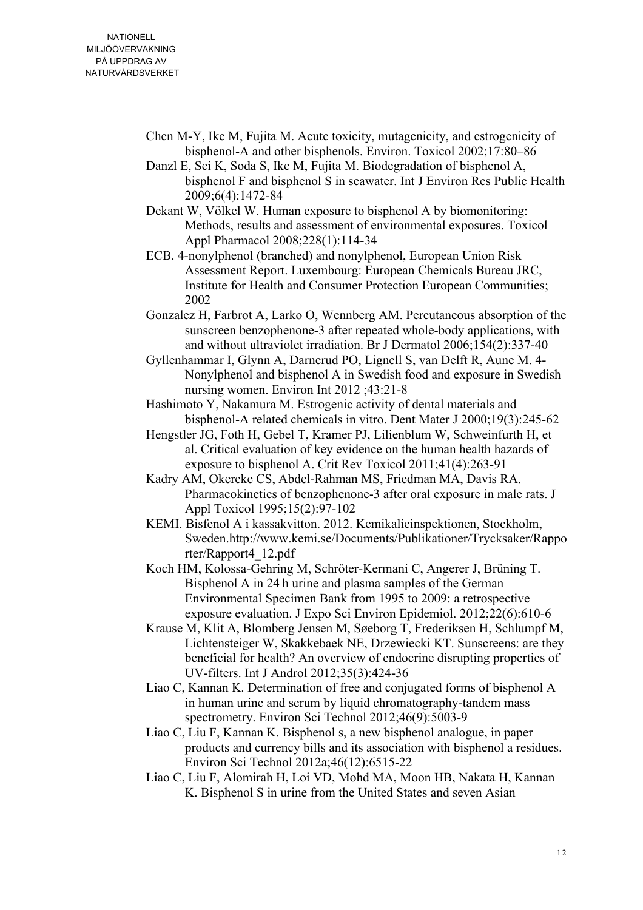- Chen M-Y, Ike M, Fujita M. Acute toxicity, mutagenicity, and estrogenicity of bisphenol-A and other bisphenols. Environ. Toxicol 2002;17:80–86
- Danzl E, Sei K, Soda S, Ike M, Fujita M. Biodegradation of bisphenol A, bisphenol F and bisphenol S in seawater. Int J Environ Res Public Health 2009;6(4):1472-84
- Dekant W, Völkel W. Human exposure to bisphenol A by biomonitoring: Methods, results and assessment of environmental exposures. Toxicol Appl Pharmacol 2008;228(1):114-34
- ECB. 4-nonylphenol (branched) and nonylphenol, European Union Risk Assessment Report. Luxembourg: European Chemicals Bureau JRC, Institute for Health and Consumer Protection European Communities; 2002
- Gonzalez H, Farbrot A, Larko O, Wennberg AM. Percutaneous absorption of the sunscreen benzophenone-3 after repeated whole-body applications, with and without ultraviolet irradiation. Br J Dermatol 2006;154(2):337-40
- Gyllenhammar I, Glynn A, Darnerud PO, Lignell S, van Delft R, Aune M. 4- Nonylphenol and bisphenol A in Swedish food and exposure in Swedish nursing women. Environ Int 2012 ;43:21-8
- Hashimoto Y, Nakamura M. Estrogenic activity of dental materials and bisphenol-A related chemicals in vitro. Dent Mater J 2000;19(3):245-62
- Hengstler JG, Foth H, Gebel T, Kramer PJ, Lilienblum W, Schweinfurth H, et al. Critical evaluation of key evidence on the human health hazards of exposure to bisphenol A. Crit Rev Toxicol 2011;41(4):263-91
- Kadry AM, Okereke CS, Abdel-Rahman MS, Friedman MA, Davis RA. Pharmacokinetics of benzophenone-3 after oral exposure in male rats. J Appl Toxicol 1995;15(2):97-102
- KEMI. Bisfenol A i kassakvitton. 2012. Kemikalieinspektionen, Stockholm, Sweden.http://www.kemi.se/Documents/Publikationer/Trycksaker/Rappo rter/Rapport4\_12.pdf
- Koch HM, Kolossa-Gehring M, Schröter-Kermani C, Angerer J, Brüning T. Bisphenol A in 24 h urine and plasma samples of the German Environmental Specimen Bank from 1995 to 2009: a retrospective exposure evaluation. J Expo Sci Environ Epidemiol. 2012;22(6):610-6
- Krause M, Klit A, Blomberg Jensen M, Søeborg T, Frederiksen H, Schlumpf M, Lichtensteiger W, Skakkebaek NE, Drzewiecki KT. Sunscreens: are they beneficial for health? An overview of endocrine disrupting properties of UV-filters. Int J Androl 2012;35(3):424-36
- Liao C, Kannan K. Determination of free and conjugated forms of bisphenol A in human urine and serum by liquid chromatography-tandem mass spectrometry. Environ Sci Technol 2012;46(9):5003-9
- Liao C, Liu F, Kannan K. Bisphenol s, a new bisphenol analogue, in paper products and currency bills and its association with bisphenol a residues. Environ Sci Technol 2012a;46(12):6515-22
- Liao C, Liu F, Alomirah H, Loi VD, Mohd MA, Moon HB, Nakata H, Kannan K. Bisphenol S in urine from the United States and seven Asian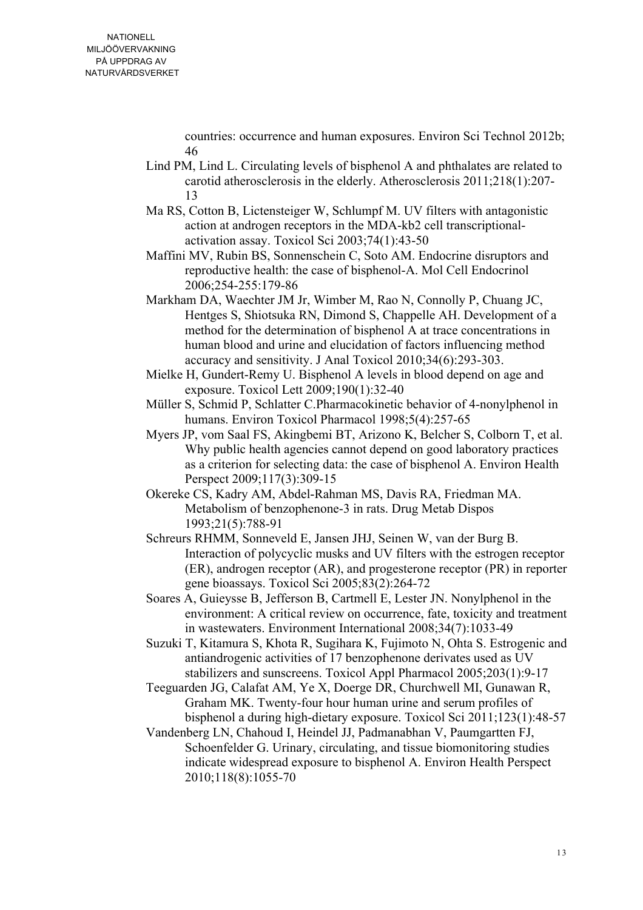countries: occurrence and human exposures. Environ Sci Technol 2012b; 46

- Lind PM, Lind L. Circulating levels of bisphenol A and phthalates are related to carotid atherosclerosis in the elderly. Atherosclerosis 2011;218(1):207- 13
- Ma RS, Cotton B, Lictensteiger W, Schlumpf M. UV filters with antagonistic action at androgen receptors in the MDA-kb2 cell transcriptionalactivation assay. Toxicol Sci 2003;74(1):43-50
- Maffini MV, Rubin BS, Sonnenschein C, Soto AM. Endocrine disruptors and reproductive health: the case of bisphenol-A. Mol Cell Endocrinol 2006;254-255:179-86
- Markham DA, Waechter JM Jr, Wimber M, Rao N, Connolly P, Chuang JC, Hentges S, Shiotsuka RN, Dimond S, Chappelle AH. Development of a method for the determination of bisphenol A at trace concentrations in human blood and urine and elucidation of factors influencing method accuracy and sensitivity. J Anal Toxicol 2010;34(6):293-303.
- Mielke H, Gundert-Remy U. Bisphenol A levels in blood depend on age and exposure. Toxicol Lett 2009;190(1):32-40
- Müller S, Schmid P, Schlatter C.Pharmacokinetic behavior of 4-nonylphenol in humans. Environ Toxicol Pharmacol 1998;5(4):257-65
- Myers JP, vom Saal FS, Akingbemi BT, Arizono K, Belcher S, Colborn T, et al. Why public health agencies cannot depend on good laboratory practices as a criterion for selecting data: the case of bisphenol A. Environ Health Perspect 2009;117(3):309-15
- Okereke CS, Kadry AM, Abdel-Rahman MS, Davis RA, Friedman MA. Metabolism of benzophenone-3 in rats. Drug Metab Dispos 1993;21(5):788-91
- Schreurs RHMM, Sonneveld E, Jansen JHJ, Seinen W, van der Burg B. Interaction of polycyclic musks and UV filters with the estrogen receptor (ER), androgen receptor (AR), and progesterone receptor (PR) in reporter gene bioassays. Toxicol Sci 2005;83(2):264-72
- Soares A, Guieysse B, Jefferson B, Cartmell E, Lester JN. Nonylphenol in the environment: A critical review on occurrence, fate, toxicity and treatment in wastewaters. Environment International 2008;34(7):1033-49
- Suzuki T, Kitamura S, Khota R, Sugihara K, Fujimoto N, Ohta S. Estrogenic and antiandrogenic activities of 17 benzophenone derivates used as UV stabilizers and sunscreens. Toxicol Appl Pharmacol 2005;203(1):9-17
- Teeguarden JG, Calafat AM, Ye X, Doerge DR, Churchwell MI, Gunawan R, Graham MK. Twenty-four hour human urine and serum profiles of bisphenol a during high-dietary exposure. Toxicol Sci 2011;123(1):48-57
- Vandenberg LN, Chahoud I, Heindel JJ, Padmanabhan V, Paumgartten FJ, Schoenfelder G. Urinary, circulating, and tissue biomonitoring studies indicate widespread exposure to bisphenol A. Environ Health Perspect 2010;118(8):1055-70